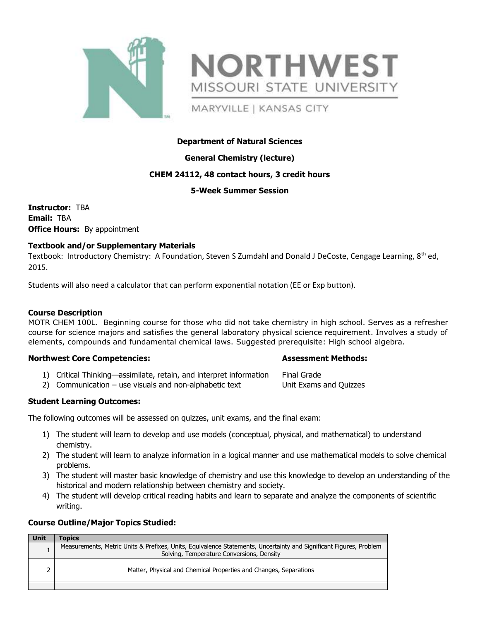



MARYVILLE | KANSAS CITY

# **Department of Natural Sciences**

# **General Chemistry (lecture)**

# **CHEM 24112, 48 contact hours, 3 credit hours**

## **5-Week Summer Session**

**Instructor:** TBA **Email:** TBA **Office Hours:** By appointment

# **Textbook and/or Supplementary Materials**

Textbook: Introductory Chemistry: A Foundation, Steven S Zumdahl and Donald J DeCoste, Cengage Learning, 8<sup>th</sup> ed, 2015.

Students will also need a calculator that can perform exponential notation (EE or Exp button).

## **Course Description**

MOTR CHEM 100L. Beginning course for those who did not take chemistry in high school. Serves as a refresher course for science majors and satisfies the general laboratory physical science requirement. Involves a study of elements, compounds and fundamental chemical laws. Suggested prerequisite: High school algebra.

## **Northwest Core Competencies: Assessment Methods:**

- 1) Critical Thinking—assimilate, retain, and interpret information Final Grade
- 2) Communication use visuals and non-alphabetic text Unit Exams and Quizzes

# **Student Learning Outcomes:**

The following outcomes will be assessed on quizzes, unit exams, and the final exam:

- 1) The student will learn to develop and use models (conceptual, physical, and mathematical) to understand chemistry.
- 2) The student will learn to analyze information in a logical manner and use mathematical models to solve chemical problems.
- 3) The student will master basic knowledge of chemistry and use this knowledge to develop an understanding of the historical and modern relationship between chemistry and society.
- 4) The student will develop critical reading habits and learn to separate and analyze the components of scientific writing.

## **Course Outline/Major Topics Studied:**

| Unit | <b>Topics</b>                                                                                                      |  |
|------|--------------------------------------------------------------------------------------------------------------------|--|
|      | Measurements, Metric Units & Prefixes, Units, Equivalence Statements, Uncertainty and Significant Figures, Problem |  |
|      | Solving, Temperature Conversions, Density                                                                          |  |
|      |                                                                                                                    |  |
|      | Matter, Physical and Chemical Properties and Changes, Separations                                                  |  |
|      |                                                                                                                    |  |
|      |                                                                                                                    |  |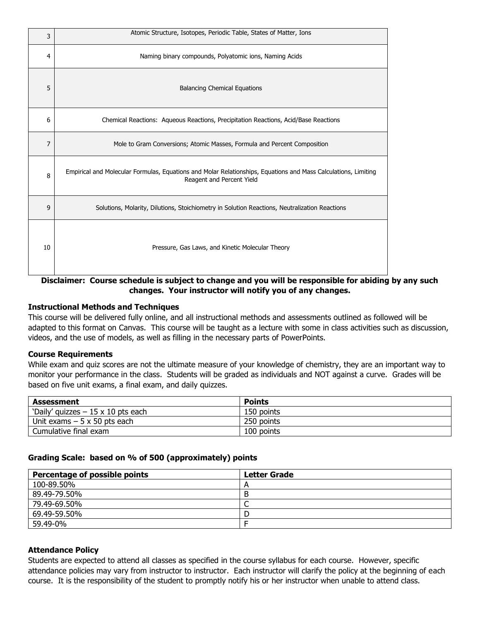| 3  | Atomic Structure, Isotopes, Periodic Table, States of Matter, Ions                                                                          |  |
|----|---------------------------------------------------------------------------------------------------------------------------------------------|--|
| 4  | Naming binary compounds, Polyatomic ions, Naming Acids                                                                                      |  |
| 5  | <b>Balancing Chemical Equations</b>                                                                                                         |  |
| 6  | Chemical Reactions: Aqueous Reactions, Precipitation Reactions, Acid/Base Reactions                                                         |  |
| 7  | Mole to Gram Conversions; Atomic Masses, Formula and Percent Composition                                                                    |  |
| 8  | Empirical and Molecular Formulas, Equations and Molar Relationships, Equations and Mass Calculations, Limiting<br>Reagent and Percent Yield |  |
| 9  | Solutions, Molarity, Dilutions, Stoichiometry in Solution Reactions, Neutralization Reactions                                               |  |
| 10 | Pressure, Gas Laws, and Kinetic Molecular Theory                                                                                            |  |

**Disclaimer: Course schedule is subject to change and you will be responsible for abiding by any such changes. Your instructor will notify you of any changes.**

## **Instructional Methods and Techniques**

This course will be delivered fully online, and all instructional methods and assessments outlined as followed will be adapted to this format on Canvas. This course will be taught as a lecture with some in class activities such as discussion, videos, and the use of models, as well as filling in the necessary parts of PowerPoints.

## **Course Requirements**

While exam and quiz scores are not the ultimate measure of your knowledge of chemistry, they are an important way to monitor your performance in the class. Students will be graded as individuals and NOT against a curve. Grades will be based on five unit exams, a final exam, and daily quizzes.

| Assessment                               | <b>Points</b> |
|------------------------------------------|---------------|
| 'Daily' quizzes $-15 \times 10$ pts each | 150 points    |
| Unit exams $-5 \times 50$ pts each       | 250 points    |
| Cumulative final exam                    | 100 points    |

## **Grading Scale: based on % of 500 (approximately) points**

| Percentage of possible points | <b>Letter Grade</b> |
|-------------------------------|---------------------|
| 100-89.50%                    | Ē                   |
| 89.49-79.50%                  | B                   |
| 79.49-69.50%                  | ◡                   |
| 69.49-59.50%                  | D                   |
| 59.49-0%                      |                     |

# **Attendance Policy**

Students are expected to attend all classes as specified in the course syllabus for each course. However, specific attendance policies may vary from instructor to instructor. Each instructor will clarify the policy at the beginning of each course. It is the responsibility of the student to promptly notify his or her instructor when unable to attend class.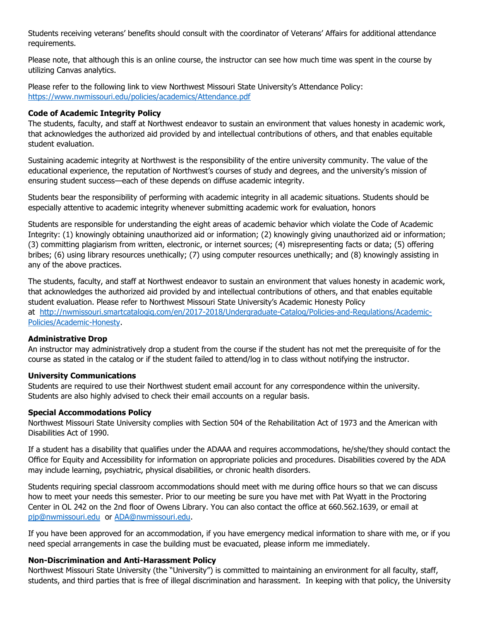Students receiving veterans' benefits should consult with the coordinator of Veterans' Affairs for additional attendance requirements.

Please note, that although this is an online course, the instructor can see how much time was spent in the course by utilizing Canvas analytics.

Please refer to the following link to view Northwest Missouri State University's Attendance Policy: <https://www.nwmissouri.edu/policies/academics/Attendance.pdf>

## **Code of Academic Integrity Policy**

The students, faculty, and staff at Northwest endeavor to sustain an environment that values honesty in academic work, that acknowledges the authorized aid provided by and intellectual contributions of others, and that enables equitable student evaluation.

Sustaining academic integrity at Northwest is the responsibility of the entire university community. The value of the educational experience, the reputation of Northwest's courses of study and degrees, and the university's mission of ensuring student success—each of these depends on diffuse academic integrity.

Students bear the responsibility of performing with academic integrity in all academic situations. Students should be especially attentive to academic integrity whenever submitting academic work for evaluation, honors

Students are responsible for understanding the eight areas of academic behavior which violate the Code of Academic Integrity: (1) knowingly obtaining unauthorized aid or information; (2) knowingly giving unauthorized aid or information; (3) committing plagiarism from written, electronic, or internet sources; (4) misrepresenting facts or data; (5) offering bribes; (6) using library resources unethically; (7) using computer resources unethically; and (8) knowingly assisting in any of the above practices.

The students, faculty, and staff at Northwest endeavor to sustain an environment that values honesty in academic work, that acknowledges the authorized aid provided by and intellectual contributions of others, and that enables equitable student evaluation. Please refer to Northwest Missouri State University's Academic Honesty Policy at [http://nwmissouri.smartcatalogiq.com/en/2017-2018/Undergraduate-Catalog/Policies-and-Regulations/Academic-](http://nwmissouri.smartcatalogiq.com/en/2017-2018/Undergraduate-Catalog/Policies-and-Regulations/Academic-Policies/Academic-Honesty)[Policies/Academic-Honesty.](http://nwmissouri.smartcatalogiq.com/en/2017-2018/Undergraduate-Catalog/Policies-and-Regulations/Academic-Policies/Academic-Honesty)

## **Administrative Drop**

An instructor may administratively drop a student from the course if the student has not met the prerequisite of for the course as stated in the catalog or if the student failed to attend/log in to class without notifying the instructor.

## **University Communications**

Students are required to use their Northwest student email account for any correspondence within the university. Students are also highly advised to check their email accounts on a regular basis.

## **Special Accommodations Policy**

Northwest Missouri State University complies with Section 504 of the Rehabilitation Act of 1973 and the American with Disabilities Act of 1990.

If a student has a disability that qualifies under the ADAAA and requires accommodations, he/she/they should contact the Office for Equity and Accessibility for information on appropriate policies and procedures. Disabilities covered by the ADA may include learning, psychiatric, physical disabilities, or chronic health disorders.

Students requiring special classroom accommodations should meet with me during office hours so that we can discuss how to meet your needs this semester. Prior to our meeting be sure you have met with Pat Wyatt in the Proctoring Center in OL 242 on the 2nd floor of Owens Library. You can also contact the office at 660.562.1639, or email at [pjp@nwmissouri.edu](mailto:pjp@nwmissouri.edu) or [ADA@nwmissouri.edu.](mailto:ADA@nwmissouri.edu)

If you have been approved for an accommodation, if you have emergency medical information to share with me, or if you need special arrangements in case the building must be evacuated, please inform me immediately.

# **Non-Discrimination and Anti-Harassment Policy**

Northwest Missouri State University (the "University") is committed to maintaining an environment for all faculty, staff, students, and third parties that is free of illegal discrimination and harassment. In keeping with that policy, the University